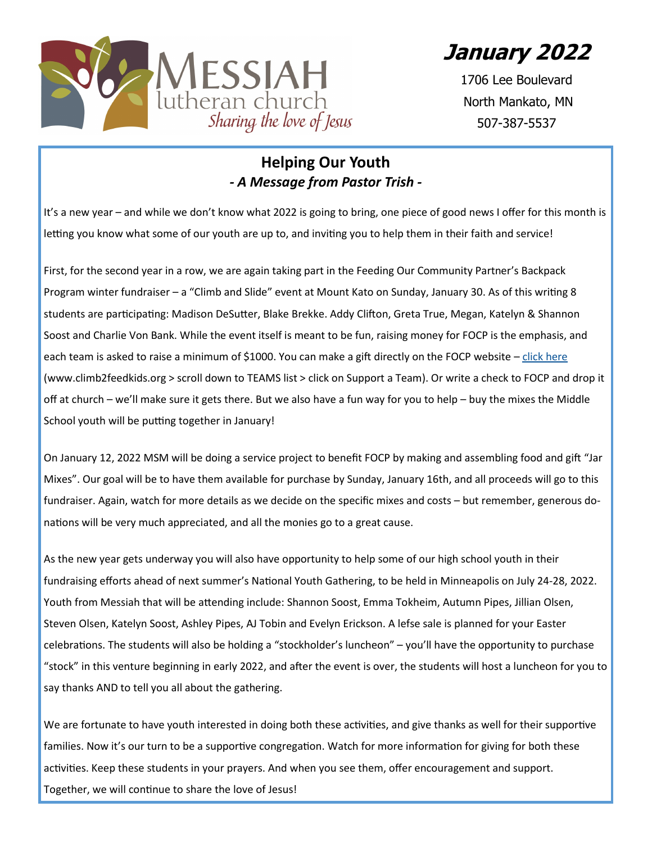**January 2022**



1706 Lee Boulevard North Mankato, MN 507-387-5537

### **Helping Our Youth** *- A Message from Pastor Trish -*

It's a new year – and while we don't know what 2022 is going to bring, one piece of good news I offer for this month is letting you know what some of our youth are up to, and inviting you to help them in their faith and service!

First, for the second year in a row, we are again taking part in the Feeding Our Community Partner's Backpack Program winter fundraiser – a "Climb and Slide" event at Mount Kato on Sunday, January 30. As of this writing 8 students are participating: Madison DeSutter, Blake Brekke. Addy Clifton, Greta True, Megan, Katelyn & Shannon Soost and Charlie Von Bank. While the event itself is meant to be fun, raising money for FOCP is the emphasis, and each team is asked to raise a minimum of \$1000. You can make a gift directly on the FOCP website – [click here](https://app.donorview.com/Event/EventInfo?prm=WhSF8jkcT8QOFsx9t7CT3qakU1GDLt3hpFW7ivSq4N-iHqncMASPVS-9MNfhS88k8cj3T8GbjVtrxluJCDCH_oXUesrc8LooUtwoZCkc-8kfFMJEi-kyeG3SeJl1hxma3ybuz6ttj3nnvT2zMNvvvOpWEG07FrjOhErrMvfBrDUMGpJYdIKN1urgzFYk08dUGhbcDepxRvsFbXXcIL) (www.climb2feedkids.org > scroll down to TEAMS list > click on Support a Team). Or write a check to FOCP and drop it off at church – we'll make sure it gets there. But we also have a fun way for you to help – buy the mixes the Middle School youth will be putting together in January!

On January 12, 2022 MSM will be doing a service project to benefit FOCP by making and assembling food and gift "Jar Mixes". Our goal will be to have them available for purchase by Sunday, January 16th, and all proceeds will go to this fundraiser. Again, watch for more details as we decide on the specific mixes and costs – but remember, generous donations will be very much appreciated, and all the monies go to a great cause.

As the new year gets underway you will also have opportunity to help some of our high school youth in their fundraising efforts ahead of next summer's National Youth Gathering, to be held in Minneapolis on July 24-28, 2022. Youth from Messiah that will be attending include: Shannon Soost, Emma Tokheim, Autumn Pipes, Jillian Olsen, Steven Olsen, Katelyn Soost, Ashley Pipes, AJ Tobin and Evelyn Erickson. A lefse sale is planned for your Easter celebrations. The students will also be holding a "stockholder's luncheon" – you'll have the opportunity to purchase "stock" in this venture beginning in early 2022, and after the event is over, the students will host a luncheon for you to say thanks AND to tell you all about the gathering.

We are fortunate to have youth interested in doing both these activities, and give thanks as well for their supportive families. Now it's our turn to be a supportive congregation. Watch for more information for giving for both these activities. Keep these students in your prayers. And when you see them, offer encouragement and support. Together, we will continue to share the love of Jesus!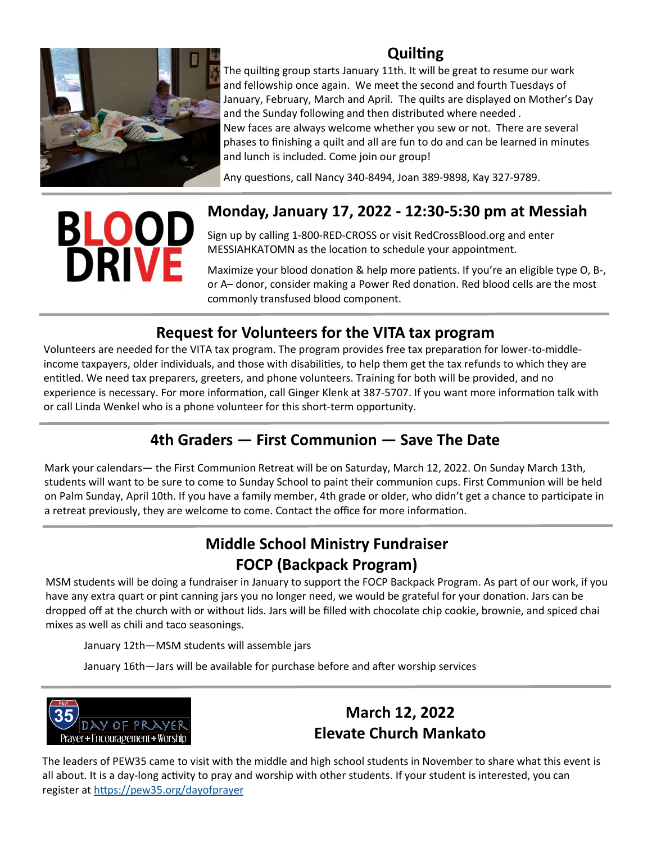# **Quilting**



The quilting group starts January 11th. It will be great to resume our work and fellowship once again. We meet the second and fourth Tuesdays of January, February, March and April. The quilts are displayed on Mother's Day and the Sunday following and then distributed where needed . New faces are always welcome whether you sew or not. There are several phases to finishing a quilt and all are fun to do and can be learned in minutes and lunch is included. Come join our group!

Any questions, call Nancy 340-8494, Joan 389-9898, Kay 327-9789.



## **Monday, January 17, 2022 - 12:30-5:30 pm at Messiah**

Sign up by calling 1-800-RED-CROSS or visit RedCrossBlood.org and enter MESSIAHKATOMN as the location to schedule your appointment.

Maximize your blood donation & help more patients. If you're an eligible type O, B-, or A– donor, consider making a Power Red donation. Red blood cells are the most commonly transfused blood component.

## **Request for Volunteers for the VITA tax program**

Volunteers are needed for the VITA tax program. The program provides free tax preparation for lower-to-middleincome taxpayers, older individuals, and those with disabilities, to help them get the tax refunds to which they are entitled. We need tax preparers, greeters, and phone volunteers. Training for both will be provided, and no experience is necessary. For more information, call Ginger Klenk at 387-5707. If you want more information talk with or call Linda Wenkel who is a phone volunteer for this short-term opportunity.

# **4th Graders — First Communion — Save The Date**

Mark your calendars— the First Communion Retreat will be on Saturday, March 12, 2022. On Sunday March 13th, students will want to be sure to come to Sunday School to paint their communion cups. First Communion will be held on Palm Sunday, April 10th. If you have a family member, 4th grade or older, who didn't get a chance to participate in a retreat previously, they are welcome to come. Contact the office for more information.

# **Middle School Ministry Fundraiser FOCP (Backpack Program)**

MSM students will be doing a fundraiser in January to support the FOCP Backpack Program. As part of our work, if you have any extra quart or pint canning jars you no longer need, we would be grateful for your donation. Jars can be dropped off at the church with or without lids. Jars will be filled with chocolate chip cookie, brownie, and spiced chai mixes as well as chili and taco seasonings.

January 12th—MSM students will assemble jars

January 16th—Jars will be available for purchase before and after worship services



**March 12, 2022 Elevate Church Mankato**

The leaders of PEW35 came to visit with the middle and high school students in November to share what this event is all about. It is a day-long activity to pray and worship with other students. If your student is interested, you can register at<https://pew35.org/dayofprayer>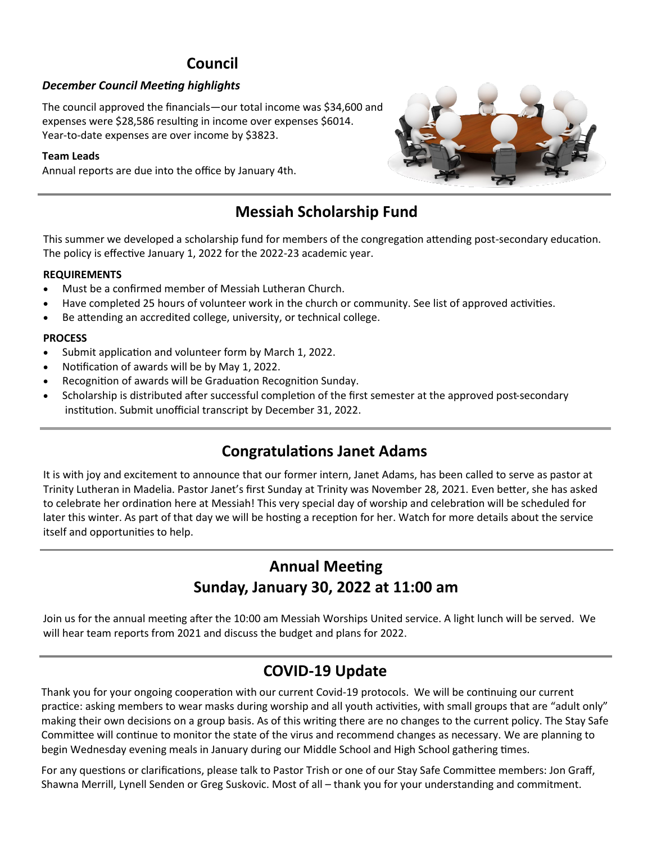# **Council**

### *December Council Meeting highlights*

The council approved the financials—our total income was \$34,600 and expenses were \$28,586 resulting in income over expenses \$6014. Year-to-date expenses are over income by \$3823.

#### **Team Leads**

Annual reports are due into the office by January 4th.



## **Messiah Scholarship Fund**

This summer we developed a scholarship fund for members of the congregation attending post-secondary education. The policy is effective January 1, 2022 for the 2022-23 academic year.

#### **REQUIREMENTS**

- Must be a confirmed member of Messiah Lutheran Church.
- Have completed 25 hours of volunteer work in the church or community. See list of approved activities.
- Be attending an accredited college, university, or technical college.

#### **PROCESS**

- Submit application and volunteer form by March 1, 2022.
- Notification of awards will be by May 1, 2022.
- Recognition of awards will be Graduation Recognition Sunday.
- Scholarship is distributed after successful completion of the first semester at the approved post-secondary institution. Submit unofficial transcript by December 31, 2022.

### **Congratulations Janet Adams**

It is with joy and excitement to announce that our former intern, Janet Adams, has been called to serve as pastor at Trinity Lutheran in Madelia. Pastor Janet's first Sunday at Trinity was November 28, 2021. Even better, she has asked to celebrate her ordination here at Messiah! This very special day of worship and celebration will be scheduled for later this winter. As part of that day we will be hosting a reception for her. Watch for more details about the service itself and opportunities to help.

# **Annual Meeting Sunday, January 30, 2022 at 11:00 am**

Join us for the annual meeting after the 10:00 am Messiah Worships United service. A light lunch will be served. We will hear team reports from 2021 and discuss the budget and plans for 2022.

## **COVID-19 Update**

Thank you for your ongoing cooperation with our current Covid-19 protocols. We will be continuing our current practice: asking members to wear masks during worship and all youth activities, with small groups that are "adult only" making their own decisions on a group basis. As of this writing there are no changes to the current policy. The Stay Safe Committee will continue to monitor the state of the virus and recommend changes as necessary. We are planning to begin Wednesday evening meals in January during our Middle School and High School gathering times.

For any questions or clarifications, please talk to Pastor Trish or one of our Stay Safe Committee members: Jon Graff, Shawna Merrill, Lynell Senden or Greg Suskovic. Most of all – thank you for your understanding and commitment.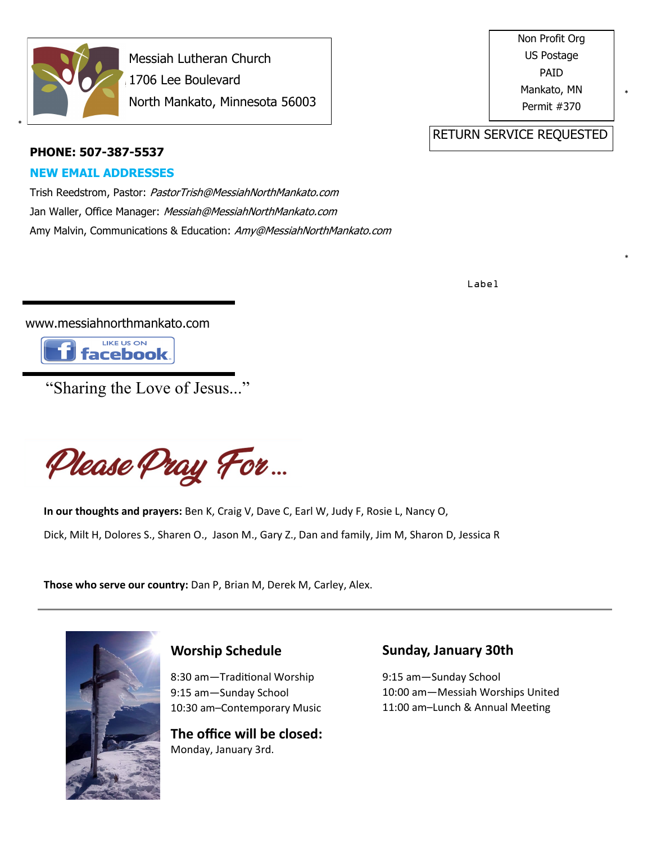

\*

Messiah Lutheran Church 1706 Lee Boulevard North Mankato, Minnesota 56003 Non Profit Org US Postage PAID Mankato, MN Permit #370

\*

\*

### RETURN SERVICE REQUESTED

### **PHONE: 507-387-5537**

#### **NEW EMAIL ADDRESSES**

Trish Reedstrom, Pastor: PastorTrish@MessiahNorthMankato.com Jan Waller, Office Manager: Messiah@MessiahNorthMankato.com Amy Malvin, Communications & Education: Amy@MessiahNorthMankato.com

Label

www.messiahnorthmankato.com



"Sharing the Love of Jesus..."

Please Pray For...

**In our thoughts and prayers:** Ben K, Craig V, Dave C, Earl W, Judy F, Rosie L, Nancy O, Dick, Milt H, Dolores S., Sharen O., Jason M., Gary Z., Dan and family, Jim M, Sharon D, Jessica R

**Those who serve our country:** Dan P, Brian M, Derek M, Carley, Alex.



### **Worship Schedule**

8:30 am—Traditional Worship 9:15 am—Sunday School 10:30 am–Contemporary Music

**The office will be closed:** Monday, January 3rd.

### **Sunday, January 30th**

9:15 am—Sunday School 10:00 am—Messiah Worships United 11:00 am–Lunch & Annual Meeting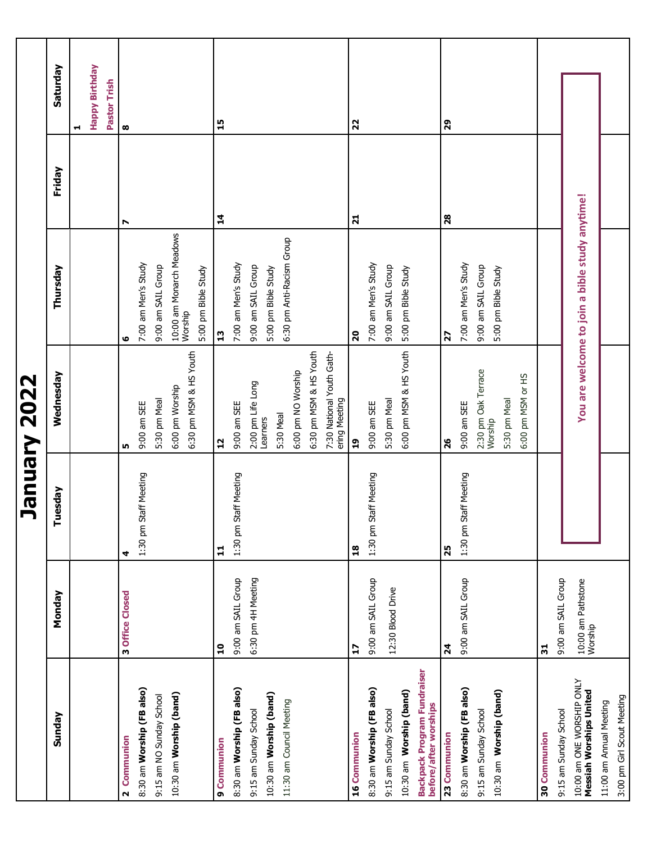|                                                             |                               |                       | January 2022                               |                                                            |                 |                       |  |
|-------------------------------------------------------------|-------------------------------|-----------------------|--------------------------------------------|------------------------------------------------------------|-----------------|-----------------------|--|
| Sunday                                                      | Monday                        | Tuesday               | Wednesday                                  | Thursday                                                   | Friday          | Saturday              |  |
|                                                             |                               |                       |                                            |                                                            |                 | ᆏ                     |  |
|                                                             |                               |                       |                                            |                                                            |                 | <b>Happy Birthday</b> |  |
|                                                             |                               |                       |                                            |                                                            |                 | Pastor Trish          |  |
| 2 Communion                                                 | 3 Office Closed               | 4                     | LO,                                        | ဖ                                                          | N               | $\boldsymbol{\infty}$ |  |
| 8:30 am Worship (FB also)                                   |                               | 1:30 pm Staff Meeting | 9:00 am SEE                                | 7:00 am Men's Study                                        |                 |                       |  |
| 9:15 am NO Sunday School                                    |                               |                       | 5:30 pm Meal                               | 9:00 am SAIL Group                                         |                 |                       |  |
| 10:30 am Worship (band)                                     |                               |                       | 6:30 pm MSM & HS Youth<br>6:00 pm Worship  | 10:00 am Monarch Meadows<br>5:00 pm Bible Study<br>Worship |                 |                       |  |
| 9 Communion                                                 | $\mathbf{a}$                  | $\mathbf{1}$          | 12                                         | $\mathbf{r}$                                               | $\frac{4}{1}$   | 15                    |  |
| 8:30 am Worship (FB also)                                   | 9:00 am SAIL Group            | 1:30 pm Staff Meeting | 9:00 am SEE                                | 7:00 am Men's Study                                        |                 |                       |  |
| 9:15 am Sunday School                                       | 6:30 pm 4H Meeting            |                       | 2:00 pm Life Long<br>Learners              | 9:00 am SAIL Group                                         |                 |                       |  |
| 10:30 am Worship (band)                                     |                               |                       | 5:30 Meal                                  | 5:00 pm Bible Study                                        |                 |                       |  |
| 11:30 am Council Meeting                                    |                               |                       | 6:00 pm NO Worship                         | 6:30 pm Anti-Racism Group                                  |                 |                       |  |
|                                                             |                               |                       | 6:30 pm MSM & HS Youth                     |                                                            |                 |                       |  |
|                                                             |                               |                       | 7:30 National Youth Gath-<br>ering Meeting |                                                            |                 |                       |  |
| 16 Communion                                                | H                             | $\frac{8}{18}$        | $\mathbf{a}$                               | $\overline{20}$                                            | $\overline{2}1$ | 22                    |  |
| 8:30 am Worship (FB also)                                   | 9:00 am SAIL Group            | 1:30 pm Staff Meeting | 9:00 am SEE                                | 7:00 am Men's Study                                        |                 |                       |  |
| 9:15 am Sunday School                                       | 12:30 Blood Drive             |                       | 5:30 pm Meal                               | 9:00 am SAIL Group                                         |                 |                       |  |
| 10:30 am Worship (band)                                     |                               |                       | 6:00 pm MSM & HS Youth                     | 5:00 pm Bible Study                                        |                 |                       |  |
| Backpack Program Fundraiser<br>before/after worships        |                               |                       |                                            |                                                            |                 |                       |  |
| 23 Communion                                                | $\overline{2}$                | 25                    | 26                                         | 27                                                         | 28              | 29                    |  |
| 8:30 am Worship (FB also)                                   | 9:00 am SAIL Group            | 1:30 pm Staff Meeting | 9:00 am SEE                                | 7:00 am Men's Study                                        |                 |                       |  |
| 9:15 am Sunday School                                       |                               |                       | 2:30 pm Oak Terrace<br>Worship             | 9:00 am SAIL Group                                         |                 |                       |  |
| 10:30 am Worship (band)                                     |                               |                       | 5:30 pm Meal                               | 5:00 pm Bible Study                                        |                 |                       |  |
|                                                             |                               |                       | 6:00 pm MSM or HS                          |                                                            |                 |                       |  |
| 30 Communion                                                | $\overline{5}$                |                       |                                            |                                                            |                 |                       |  |
| 9:15 am Sunday School                                       | 9:00 am SAIL Group            |                       |                                            |                                                            |                 |                       |  |
| 10:00 am ONE WORSHIP ONLY<br><b>Messiah Worships United</b> | 10:00 am Pathstone<br>Worship |                       |                                            | You are welcome to join a bible study anytime!             |                 |                       |  |
| 11:00 am Annual Meeting                                     |                               |                       |                                            |                                                            |                 |                       |  |
| 3:00 pm Girl Scout Meeting                                  |                               |                       |                                            |                                                            |                 |                       |  |